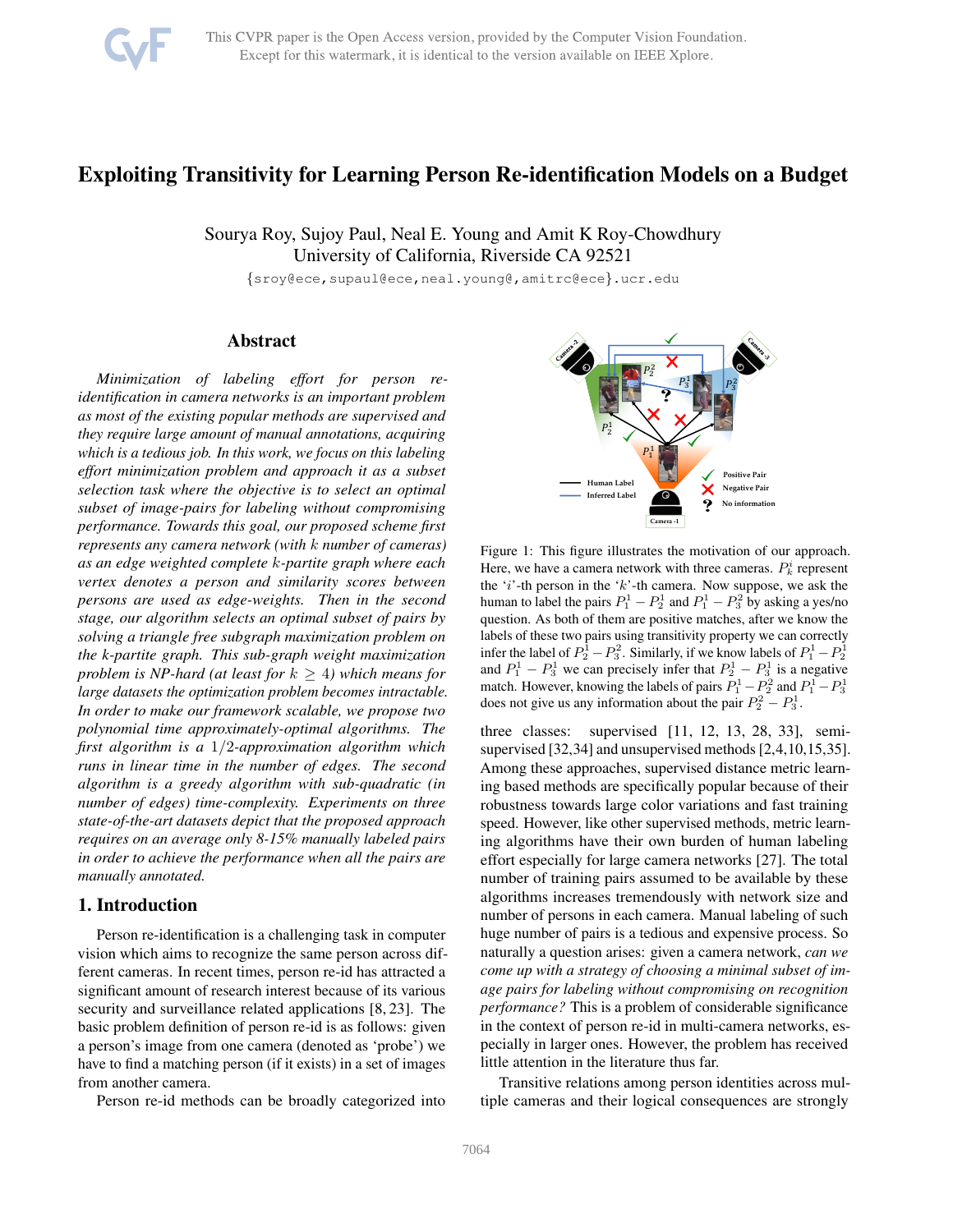# Exploiting Transitivity for Learning Person Re-identification Models on a Budget

Sourya Roy, Sujoy Paul, Neal E. Young and Amit K Roy-Chowdhury University of California, Riverside CA 92521

{sroy@ece,supaul@ece,neal.young@,amitrc@ece}.ucr.edu

# Abstract

*Minimization of labeling effort for person reidentification in camera networks is an important problem as most of the existing popular methods are supervised and they require large amount of manual annotations, acquiring which is a tedious job. In this work, we focus on this labeling effort minimization problem and approach it as a subset selection task where the objective is to select an optimal subset of image-pairs for labeling without compromising performance. Towards this goal, our proposed scheme first represents any camera network (with* k *number of cameras) as an edge weighted complete* k*-partite graph where each vertex denotes a person and similarity scores between persons are used as edge-weights. Then in the second stage, our algorithm selects an optimal subset of pairs by solving a triangle free subgraph maximization problem on the k-partite graph. This sub-graph weight maximization problem is NP-hard (at least for*  $k \geq 4$ *) which means for large datasets the optimization problem becomes intractable. In order to make our framework scalable, we propose two polynomial time approximately-optimal algorithms. The first algorithm is a* 1/2*-approximation algorithm which runs in linear time in the number of edges. The second algorithm is a greedy algorithm with sub-quadratic (in number of edges) time-complexity. Experiments on three state-of-the-art datasets depict that the proposed approach requires on an average only 8-15% manually labeled pairs in order to achieve the performance when all the pairs are manually annotated.*

# 1. Introduction

Person re-identification is a challenging task in computer vision which aims to recognize the same person across different cameras. In recent times, person re-id has attracted a significant amount of research interest because of its various security and surveillance related applications [8, 23]. The basic problem definition of person re-id is as follows: given a person's image from one camera (denoted as 'probe') we have to find a matching person (if it exists) in a set of images from another camera.

Person re-id methods can be broadly categorized into



Figure 1: This figure illustrates the motivation of our approach. Here, we have a camera network with three cameras.  $P_k^i$  represent the 'i'-th person in the 'k'-th camera. Now suppose, we ask the human to label the pairs  $P_1^1 - P_2^1$  and  $P_1^1 - P_3^2$  by asking a yes/no question. As both of them are positive matches, after we know the labels of these two pairs using transitivity property we can correctly infer the label of  $P_2^1 - P_3^2$ . Similarly, if we know labels of  $P_1^1 - P_2^1$ and  $P_1^1 - P_3^1$  we can precisely infer that  $P_2^1 - P_3^1$  is a negative match. However, knowing the labels of pairs  $P_1^1 - P_2^2$  and  $P_1^1 - P_3^1$ does not give us any information about the pair  $P_2^2 - P_3^1$ .

three classes: supervised [11, 12, 13, 28, 33], semisupervised [32,34] and unsupervised methods [2,4,10,15,35]. Among these approaches, supervised distance metric learning based methods are specifically popular because of their robustness towards large color variations and fast training speed. However, like other supervised methods, metric learning algorithms have their own burden of human labeling effort especially for large camera networks [27]. The total number of training pairs assumed to be available by these algorithms increases tremendously with network size and number of persons in each camera. Manual labeling of such huge number of pairs is a tedious and expensive process. So naturally a question arises: given a camera network, *can we come up with a strategy of choosing a minimal subset of image pairs for labeling without compromising on recognition performance?* This is a problem of considerable significance in the context of person re-id in multi-camera networks, especially in larger ones. However, the problem has received little attention in the literature thus far.

Transitive relations among person identities across multiple cameras and their logical consequences are strongly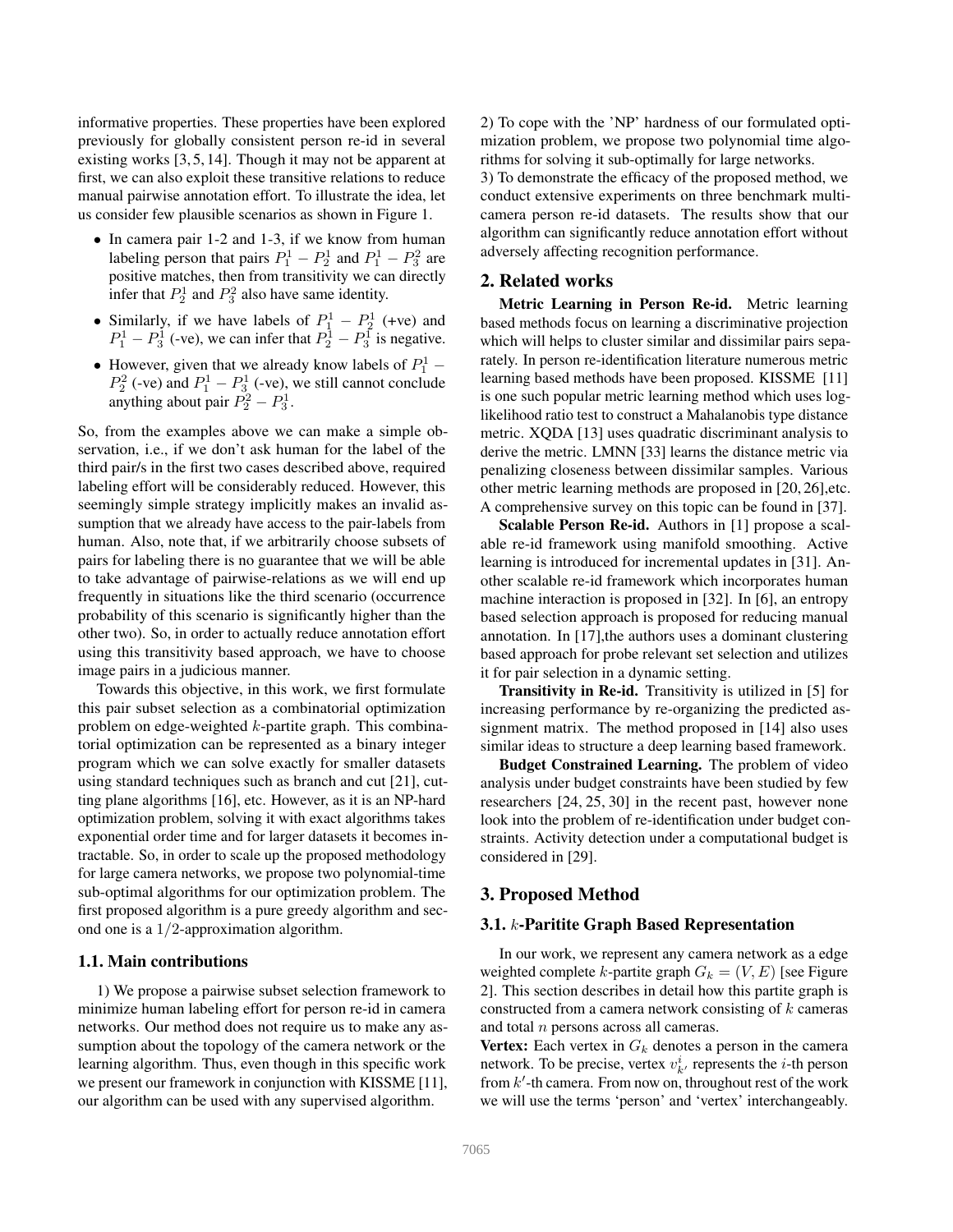informative properties. These properties have been explored previously for globally consistent person re-id in several existing works [3, 5, 14]. Though it may not be apparent at first, we can also exploit these transitive relations to reduce manual pairwise annotation effort. To illustrate the idea, let us consider few plausible scenarios as shown in Figure 1.

- In camera pair 1-2 and 1-3, if we know from human labeling person that pairs  $P_1^1 - P_2^1$  and  $P_1^1 - P_3^2$  are positive matches, then from transitivity we can directly infer that  $P_2^1$  and  $P_3^2$  also have same identity.
- Similarly, if we have labels of  $P_1^1 P_2^1$  (+ve) and  $P_1^1 - P_3^1$  (-ve), we can infer that  $P_2^1 - P_3^1$  is negative.
- However, given that we already know labels of  $P_1^1$   $P_2^2$  (-ve) and  $P_1^1 - P_3^1$  (-ve), we still cannot conclude anything about pair  $P_2^2 - P_3^1$ .

So, from the examples above we can make a simple observation, i.e., if we don't ask human for the label of the third pair/s in the first two cases described above, required labeling effort will be considerably reduced. However, this seemingly simple strategy implicitly makes an invalid assumption that we already have access to the pair-labels from human. Also, note that, if we arbitrarily choose subsets of pairs for labeling there is no guarantee that we will be able to take advantage of pairwise-relations as we will end up frequently in situations like the third scenario (occurrence probability of this scenario is significantly higher than the other two). So, in order to actually reduce annotation effort using this transitivity based approach, we have to choose image pairs in a judicious manner.

Towards this objective, in this work, we first formulate this pair subset selection as a combinatorial optimization problem on edge-weighted k-partite graph. This combinatorial optimization can be represented as a binary integer program which we can solve exactly for smaller datasets using standard techniques such as branch and cut [21], cutting plane algorithms [16], etc. However, as it is an NP-hard optimization problem, solving it with exact algorithms takes exponential order time and for larger datasets it becomes intractable. So, in order to scale up the proposed methodology for large camera networks, we propose two polynomial-time sub-optimal algorithms for our optimization problem. The first proposed algorithm is a pure greedy algorithm and second one is a  $1/2$ -approximation algorithm.

# 1.1. Main contributions

1) We propose a pairwise subset selection framework to minimize human labeling effort for person re-id in camera networks. Our method does not require us to make any assumption about the topology of the camera network or the learning algorithm. Thus, even though in this specific work we present our framework in conjunction with KISSME [11], our algorithm can be used with any supervised algorithm.

2) To cope with the 'NP' hardness of our formulated optimization problem, we propose two polynomial time algorithms for solving it sub-optimally for large networks. 3) To demonstrate the efficacy of the proposed method, we

conduct extensive experiments on three benchmark multicamera person re-id datasets. The results show that our algorithm can significantly reduce annotation effort without adversely affecting recognition performance.

# 2. Related works

Metric Learning in Person Re-id. Metric learning based methods focus on learning a discriminative projection which will helps to cluster similar and dissimilar pairs separately. In person re-identification literature numerous metric learning based methods have been proposed. KISSME [11] is one such popular metric learning method which uses loglikelihood ratio test to construct a Mahalanobis type distance metric. XQDA [13] uses quadratic discriminant analysis to derive the metric. LMNN [33] learns the distance metric via penalizing closeness between dissimilar samples. Various other metric learning methods are proposed in [20, 26],etc. A comprehensive survey on this topic can be found in [37].

Scalable Person Re-id. Authors in [1] propose a scalable re-id framework using manifold smoothing. Active learning is introduced for incremental updates in [31]. Another scalable re-id framework which incorporates human machine interaction is proposed in [32]. In [6], an entropy based selection approach is proposed for reducing manual annotation. In [17],the authors uses a dominant clustering based approach for probe relevant set selection and utilizes it for pair selection in a dynamic setting.

Transitivity in Re-id. Transitivity is utilized in [5] for increasing performance by re-organizing the predicted assignment matrix. The method proposed in [14] also uses similar ideas to structure a deep learning based framework.

Budget Constrained Learning. The problem of video analysis under budget constraints have been studied by few researchers [24, 25, 30] in the recent past, however none look into the problem of re-identification under budget constraints. Activity detection under a computational budget is considered in [29].

### 3. Proposed Method

### 3.1. k-Paritite Graph Based Representation

In our work, we represent any camera network as a edge weighted complete k-partite graph  $G_k = (V, E)$  [see Figure 2]. This section describes in detail how this partite graph is constructed from a camera network consisting of  $k$  cameras and total n persons across all cameras.

Vertex: Each vertex in  $G_k$  denotes a person in the camera network. To be precise, vertex  $v_{k'}^i$  represents the *i*-th person from k'-th camera. From now on, throughout rest of the work we will use the terms 'person' and 'vertex' interchangeably.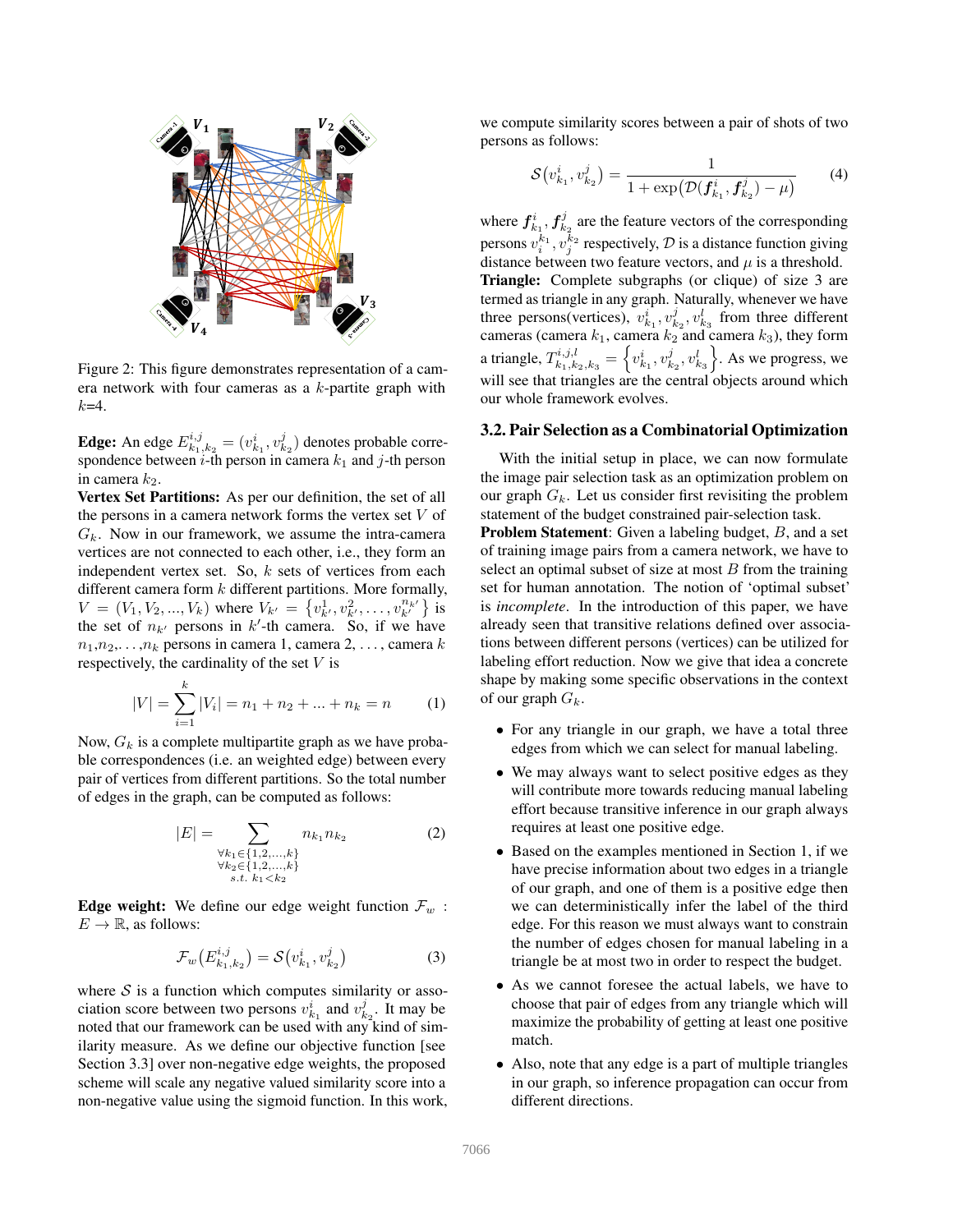

Figure 2: This figure demonstrates representation of a camera network with four cameras as a k-partite graph with  $k=4$ .

**Edge:** An edge  $E_{k_1,k_2}^{i,j} = (v_{k_1}^i, v_{k_2}^j)$  denotes probable correspondence between  $i$ -th person in camera  $k_1$  and  $j$ -th person in camera  $k_2$ .

Vertex Set Partitions: As per our definition, the set of all the persons in a camera network forms the vertex set  $V$  of  $G_k$ . Now in our framework, we assume the intra-camera vertices are not connected to each other, i.e., they form an independent vertex set. So,  $k$  sets of vertices from each different camera form  $k$  different partitions. More formally,  $V = (V_1, V_2, ..., V_k)$  where  $V_{k'} = \{v_{k'}^1, v_{k'}^2, ..., v_{k'}^{n_{k'}}\}$  is the set of  $n_{k'}$  persons in k'-th camera. So, if we have  $n_1, n_2, \ldots, n_k$  persons in camera 1, camera 2, ..., camera k respectively, the cardinality of the set  $V$  is

$$
|V| = \sum_{i=1}^{k} |V_i| = n_1 + n_2 + \dots + n_k = n \tag{1}
$$

Now,  $G_k$  is a complete multipartite graph as we have probable correspondences (i.e. an weighted edge) between every pair of vertices from different partitions. So the total number of edges in the graph, can be computed as follows:

$$
|E| = \sum_{\substack{\forall k_1 \in \{1, 2, \dots, k\} \\ \forall k_2 \in \{1, 2, \dots, k\} \\ s.t. \ k_1 < k_2}} n_{k_1} n_{k_2} \tag{2}
$$

Edge weight: We define our edge weight function  $\mathcal{F}_w$ :  $E \to \mathbb{R}$ , as follows:

$$
\mathcal{F}_w(E_{k_1,k_2}^{i,j}) = \mathcal{S}(v_{k_1}^i, v_{k_2}^j)
$$
 (3)

where  $S$  is a function which computes similarity or association score between two persons  $v_{k_1}^i$  and  $v_{k_2}^j$ . It may be noted that our framework can be used with any kind of similarity measure. As we define our objective function [see Section 3.3] over non-negative edge weights, the proposed scheme will scale any negative valued similarity score into a non-negative value using the sigmoid function. In this work, we compute similarity scores between a pair of shots of two persons as follows:

$$
S(v_{k_1}^i, v_{k_2}^j) = \frac{1}{1 + \exp(\mathcal{D}(f_{k_1}^i, f_{k_2}^j) - \mu)}
$$
(4)

where  $f_{k_1}^i, f_{k_2}^j$  are the feature vectors of the corresponding persons  $v_i^{k_1}, v_j^{k_2}$  respectively,  $\mathcal D$  is a distance function giving distance between two feature vectors, and  $\mu$  is a threshold. Triangle: Complete subgraphs (or clique) of size 3 are termed as triangle in any graph. Naturally, whenever we have three persons(vertices),  $v_{k_1}^i$ ,  $v_{k_2}^j$ ,  $v_{k_3}^l$  from three different cameras (camera  $k_1$ , camera  $k_2$  and camera  $k_3$ ), they form a triangle,  $T_{k_1,k_2,k_3}^{i,j,l} = \left\{ v_{k_1}^i, v_{k_2}^j, v_{k_3}^l \right\}$ . As we progress, we will see that triangles are the central objects around which our whole framework evolves.

#### 3.2. Pair Selection as a Combinatorial Optimization

With the initial setup in place, we can now formulate the image pair selection task as an optimization problem on our graph  $G_k$ . Let us consider first revisiting the problem statement of the budget constrained pair-selection task.

**Problem Statement:** Given a labeling budget, B, and a set of training image pairs from a camera network, we have to select an optimal subset of size at most  $B$  from the training set for human annotation. The notion of 'optimal subset' is *incomplete*. In the introduction of this paper, we have already seen that transitive relations defined over associations between different persons (vertices) can be utilized for labeling effort reduction. Now we give that idea a concrete shape by making some specific observations in the context of our graph  $G_k$ .

- For any triangle in our graph, we have a total three edges from which we can select for manual labeling.
- We may always want to select positive edges as they will contribute more towards reducing manual labeling effort because transitive inference in our graph always requires at least one positive edge.
- Based on the examples mentioned in Section 1, if we have precise information about two edges in a triangle of our graph, and one of them is a positive edge then we can deterministically infer the label of the third edge. For this reason we must always want to constrain the number of edges chosen for manual labeling in a triangle be at most two in order to respect the budget.
- As we cannot foresee the actual labels, we have to choose that pair of edges from any triangle which will maximize the probability of getting at least one positive match.
- Also, note that any edge is a part of multiple triangles in our graph, so inference propagation can occur from different directions.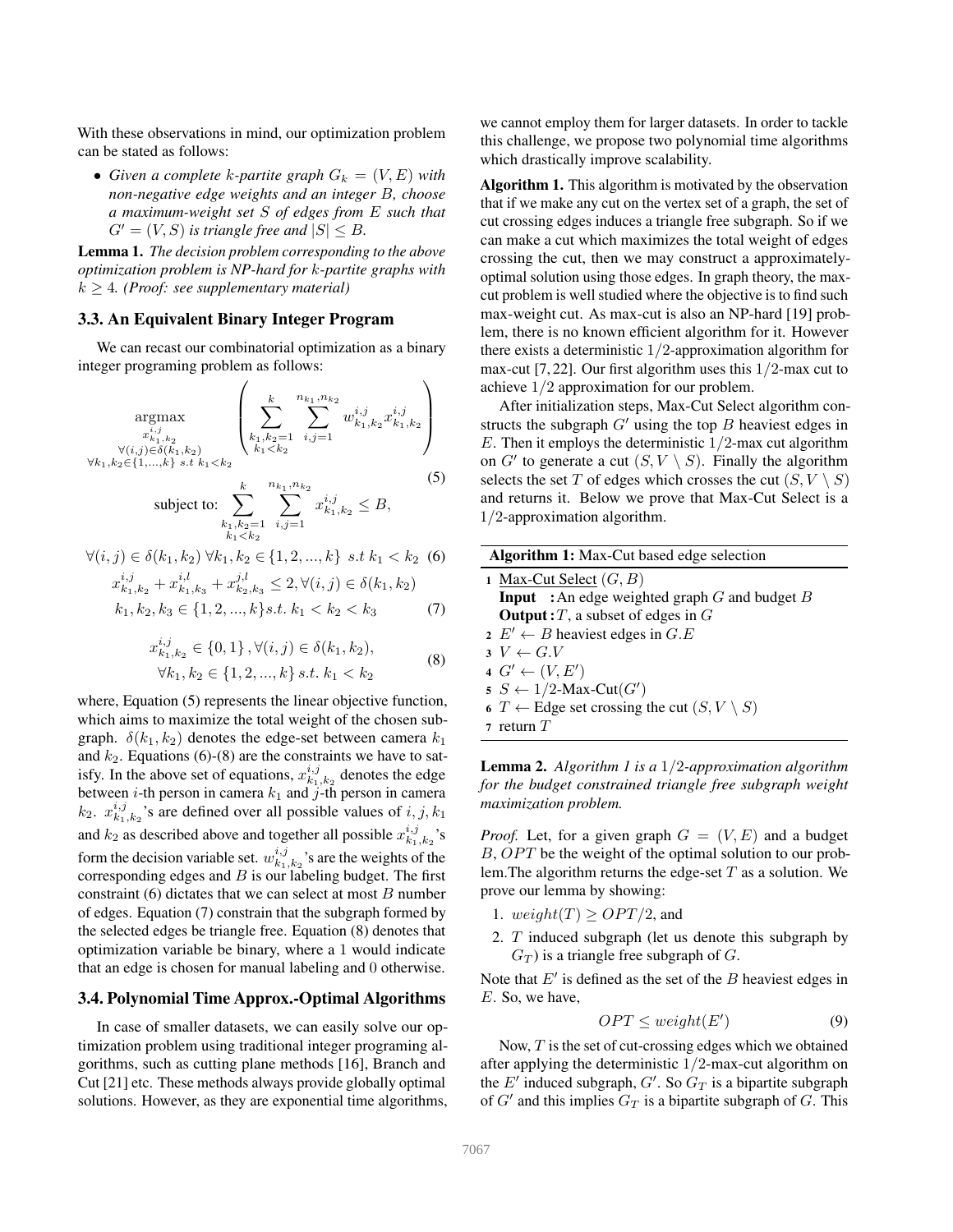With these observations in mind, our optimization problem can be stated as follows:

• *Given a complete k-partite graph*  $G_k = (V, E)$  *with non-negative edge weights and an integer* B*, choose a maximum-weight set* S *of edges from* E *such that*  $G' = (V, S)$  *is triangle free and*  $|S| \leq B$ *.* 

Lemma 1. *The decision problem corresponding to the above optimization problem is NP-hard for* k*-partite graphs with*  $k \geq 4$ . (*Proof: see supplementary material*)

#### 3.3. An Equivalent Binary Integer Program

We can recast our combinatorial optimization as a binary integer programing problem as follows:

$$
\underset{\substack{x_{i,j,k_2}^{i,j} \\ \forall (i,j) \in \delta(k_1,k_2) \\ \forall k_1,k_2 \in \{1,\dots,k\}} s.t \ k_1 < k_2}}{\operatorname{argmax}} \left( \sum_{\substack{k_1,k_2=1 \\ k_1 < k_2}}^{k} \sum_{\substack{i,j=1 \\ i,j=1}}^{n_{k_1},n_{k_2}} w_{k_1,k_2}^{i,j} x_{k_1,k_2}^{i,j} \right)
$$
\n(5)

subject to: 
$$
\sum_{\substack{k_1, k_2 = 1 \\ k_1 < k_2}}^{k} \sum_{i,j=1}^{n_{k_1}, n_{k_2}} x_{k_1, k_2}^{i,j} \leq B,
$$

$$
\forall (i,j) \in \delta(k_1, k_2) \,\forall k_1, k_2 \in \{1, 2, ..., k\} \,\text{ s.t } k_1 < k_2 \tag{6}
$$
\n
$$
x_{k_1, k_2}^{i,j} + x_{k_1, k_2}^{i,l} + x_{k_2, k_3}^{j,l} \le 2, \forall (i,j) \in \delta(k_1, k_2)
$$

$$
x_{k_1,k_2}^{i,j} + x_{k_1,k_3}^{i,i} + x_{k_2,k_3}^{j,i} \le 2, \forall (i,j) \in \delta(k_1,k_2)
$$
  

$$
k_1, k_2, k_3 \in \{1, 2, ..., k\} s.t. k_1 < k_2 < k_3
$$
 (7)

$$
x_{k_1,k_2}^{i,j} \in \{0,1\}, \forall (i,j) \in \delta(k_1,k_2),
$$
  
 
$$
\forall k_1, k_2 \in \{1,2,...,k\} \, s.t. \, k_1 < k_2
$$
 (8)

where, Equation (5) represents the linear objective function, which aims to maximize the total weight of the chosen subgraph.  $\delta(k_1, k_2)$  denotes the edge-set between camera  $k_1$ and  $k_2$ . Equations (6)-(8) are the constraints we have to satisfy. In the above set of equations,  $x_{k_1,k_2}^{i,j}$  denotes the edge between *i*-th person in camera  $k_1$  and  $j$ -th person in camera  $k_2$ .  $x_{k_1,k_2}^{i,j}$ 's are defined over all possible values of  $i, j, k_1$ and  $k_2$  as described above and together all possible  $x_{k_1,k_2}^{i,j}$ 's form the decision variable set.  $w_{k_1,k_2}^{i,j}$ 's are the weights of the corresponding edges and  $B$  is our labeling budget. The first constraint  $(6)$  dictates that we can select at most B number of edges. Equation (7) constrain that the subgraph formed by the selected edges be triangle free. Equation (8) denotes that optimization variable be binary, where a 1 would indicate that an edge is chosen for manual labeling and 0 otherwise.

#### 3.4. Polynomial Time Approx.-Optimal Algorithms

In case of smaller datasets, we can easily solve our optimization problem using traditional integer programing algorithms, such as cutting plane methods [16], Branch and Cut [21] etc. These methods always provide globally optimal solutions. However, as they are exponential time algorithms, we cannot employ them for larger datasets. In order to tackle this challenge, we propose two polynomial time algorithms which drastically improve scalability.

Algorithm 1. This algorithm is motivated by the observation that if we make any cut on the vertex set of a graph, the set of cut crossing edges induces a triangle free subgraph. So if we can make a cut which maximizes the total weight of edges crossing the cut, then we may construct a approximatelyoptimal solution using those edges. In graph theory, the maxcut problem is well studied where the objective is to find such max-weight cut. As max-cut is also an NP-hard [19] problem, there is no known efficient algorithm for it. However there exists a deterministic 1/2-approximation algorithm for max-cut [7, 22]. Our first algorithm uses this  $1/2$ -max cut to achieve 1/2 approximation for our problem.

After initialization steps, Max-Cut Select algorithm constructs the subgraph  $G'$  using the top  $B$  heaviest edges in  $E$ . Then it employs the deterministic  $1/2$ -max cut algorithm on G' to generate a cut  $(S, V \setminus S)$ . Finally the algorithm selects the set T of edges which crosses the cut  $(S, V \setminus S)$ and returns it. Below we prove that Max-Cut Select is a 1/2-approximation algorithm.

| <b>Algorithm 1:</b> Max-Cut based edge selection                |  |  |  |
|-----------------------------------------------------------------|--|--|--|
| 1 Max-Cut Select $(G, B)$                                       |  |  |  |
| <b>Input</b> : An edge weighted graph $G$ and budget $B$        |  |  |  |
| <b>Output</b> : $T$ , a subset of edges in $G$                  |  |  |  |
| 2 $E' \leftarrow B$ heaviest edges in $G.E$                     |  |  |  |
| $V \leftarrow G.V$                                              |  |  |  |
| $G' \leftarrow (V, E')$                                         |  |  |  |
| 5 $S \leftarrow 1/2$ -Max-Cut(G')                               |  |  |  |
| 6 T $\leftarrow$ Edge set crossing the cut $(S, V \setminus S)$ |  |  |  |
| 7 return $T$                                                    |  |  |  |
|                                                                 |  |  |  |

Lemma 2. *Algorithm 1 is a* 1/2*-approximation algorithm for the budget constrained triangle free subgraph weight maximization problem.*

*Proof.* Let, for a given graph  $G = (V, E)$  and a budget  $B, OPT$  be the weight of the optimal solution to our problem. The algorithm returns the edge-set  $T$  as a solution. We prove our lemma by showing:

- 1.  $weight(T) \geq OPT/2$ , and
- 2. T induced subgraph (let us denote this subgraph by  $G_T$ ) is a triangle free subgraph of G.

Note that  $E'$  is defined as the set of the  $B$  heaviest edges in E. So, we have,

$$
OPT \le weight(E') \tag{9}
$$

Now, T is the set of cut-crossing edges which we obtained after applying the deterministic 1/2-max-cut algorithm on the  $E'$  induced subgraph,  $G'$ . So  $G_T$  is a bipartite subgraph of  $G'$  and this implies  $G_T$  is a bipartite subgraph of G. This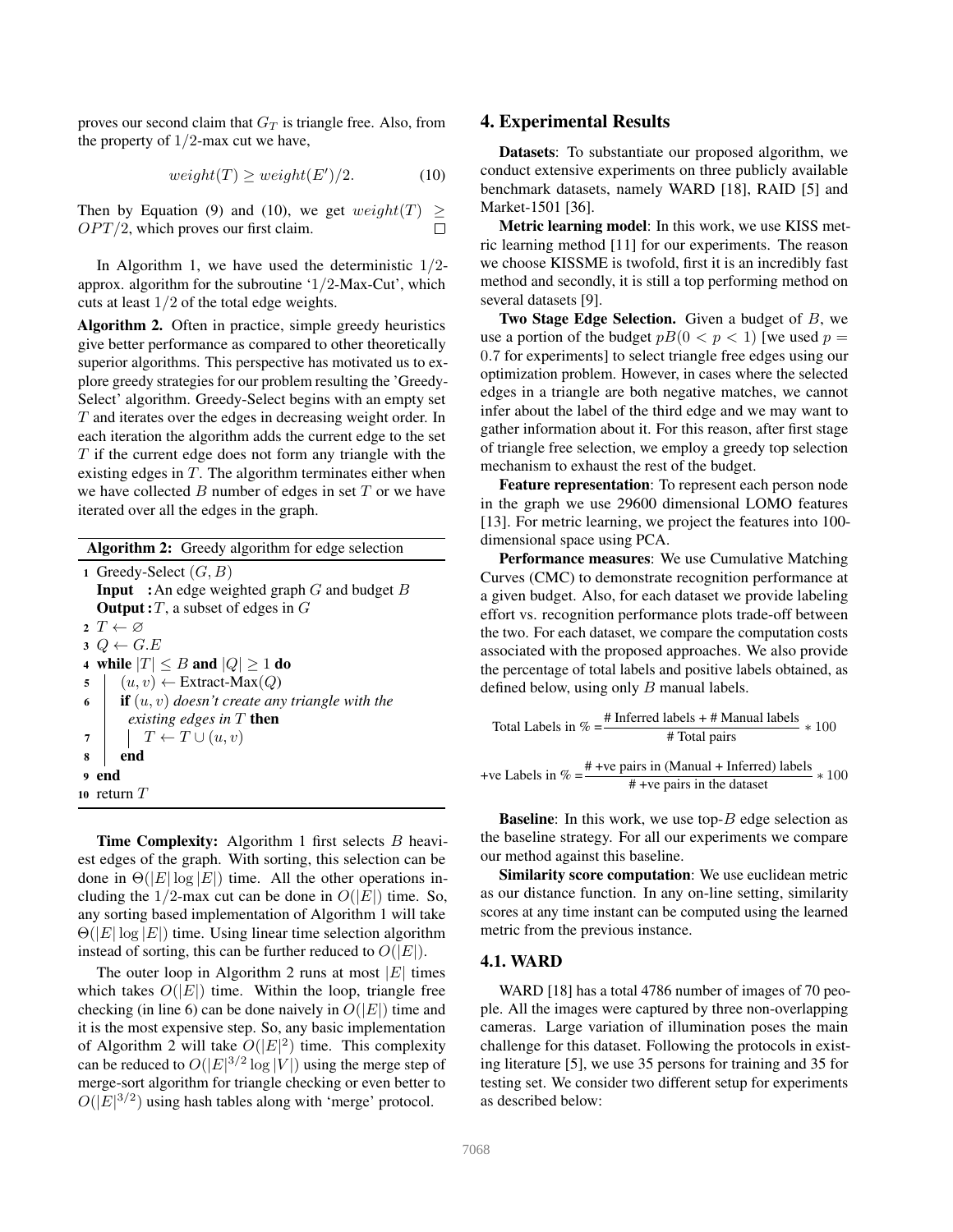proves our second claim that  $G_T$  is triangle free. Also, from the property of  $1/2$ -max cut we have,

$$
weight(T) \ge weight(E')/2.
$$
 (10)

Then by Equation (9) and (10), we get  $weight(T) \ge$  $OPT/2$ , which proves our first claim.  $\Box$ 

In Algorithm 1, we have used the deterministic  $1/2$ approx. algorithm for the subroutine '1/2-Max-Cut', which cuts at least  $1/2$  of the total edge weights.

Algorithm 2. Often in practice, simple greedy heuristics give better performance as compared to other theoretically superior algorithms. This perspective has motivated us to explore greedy strategies for our problem resulting the 'Greedy-Select' algorithm. Greedy-Select begins with an empty set T and iterates over the edges in decreasing weight order. In each iteration the algorithm adds the current edge to the set  $T$  if the current edge does not form any triangle with the existing edges in  $T$ . The algorithm terminates either when we have collected  $B$  number of edges in set  $T$  or we have iterated over all the edges in the graph.

| <b>Algorithm 2:</b> Greedy algorithm for edge selection      |  |
|--------------------------------------------------------------|--|
| 1 Greedy-Select $(G, B)$                                     |  |
| <b>Input</b> : An edge weighted graph $G$ and budget $B$     |  |
| <b>Output:</b> $T$ , a subset of edges in $G$                |  |
| $2T \leftarrow \varnothing$                                  |  |
| $3 Q \leftarrow G.E$                                         |  |
| 4 while $ T  \leq B$ and $ Q  \geq 1$ do                     |  |
| $(u, v) \leftarrow$ Extract-Max $(Q)$<br>5                   |  |
| <b>if</b> $(u, v)$ doesn't create any triangle with the<br>6 |  |
| <i>existing edges in</i> $T$ then                            |  |
| 7   $T \leftarrow T \cup (u, v)$                             |  |
| end<br>8                                                     |  |
| end<br>9                                                     |  |
| 10 return $T$                                                |  |

Time Complexity: Algorithm 1 first selects B heaviest edges of the graph. With sorting, this selection can be done in  $\Theta(|E| \log |E|)$  time. All the other operations including the 1/2-max cut can be done in  $O(|E|)$  time. So, any sorting based implementation of Algorithm 1 will take  $\Theta(|E| \log |E|)$  time. Using linear time selection algorithm instead of sorting, this can be further reduced to  $O(|E|)$ .

The outer loop in Algorithm 2 runs at most  $|E|$  times which takes  $O(|E|)$  time. Within the loop, triangle free checking (in line 6) can be done naively in  $O(|E|)$  time and it is the most expensive step. So, any basic implementation of Algorithm 2 will take  $O(|E|^2)$  time. This complexity can be reduced to  $O(|E|^{3/2} \log |V|)$  using the merge step of merge-sort algorithm for triangle checking or even better to  $O(|E|^{3/2})$  using hash tables along with 'merge' protocol.

### 4. Experimental Results

Datasets: To substantiate our proposed algorithm, we conduct extensive experiments on three publicly available benchmark datasets, namely WARD [18], RAID [5] and Market-1501 [36].

Metric learning model: In this work, we use KISS metric learning method [11] for our experiments. The reason we choose KISSME is twofold, first it is an incredibly fast method and secondly, it is still a top performing method on several datasets [9].

**Two Stage Edge Selection.** Given a budget of  $B$ , we use a portion of the budget  $pB(0 < p < 1)$  [we used  $p =$ 0.7 for experiments] to select triangle free edges using our optimization problem. However, in cases where the selected edges in a triangle are both negative matches, we cannot infer about the label of the third edge and we may want to gather information about it. For this reason, after first stage of triangle free selection, we employ a greedy top selection mechanism to exhaust the rest of the budget.

Feature representation: To represent each person node in the graph we use 29600 dimensional LOMO features [13]. For metric learning, we project the features into 100dimensional space using PCA.

Performance measures: We use Cumulative Matching Curves (CMC) to demonstrate recognition performance at a given budget. Also, for each dataset we provide labeling effort vs. recognition performance plots trade-off between the two. For each dataset, we compare the computation costs associated with the proposed approaches. We also provide the percentage of total labels and positive labels obtained, as defined below, using only B manual labels.

Total Labels in 
$$
\% = \frac{\# \text{ Inferred labels } + \# \text{ Manual labels}}{\# \text{ Total pairs}} \times 100
$$

+ve Labels in 
$$
\% = \frac{\# +ve \text{ pairs in (Manual + Inferred) labels}}{\# +ve \text{ pairs in the dataset}} * 100
$$

**Baseline:** In this work, we use top- $B$  edge selection as the baseline strategy. For all our experiments we compare our method against this baseline.

Similarity score computation: We use euclidean metric as our distance function. In any on-line setting, similarity scores at any time instant can be computed using the learned metric from the previous instance.

# 4.1. WARD

WARD [18] has a total 4786 number of images of 70 people. All the images were captured by three non-overlapping cameras. Large variation of illumination poses the main challenge for this dataset. Following the protocols in existing literature [5], we use 35 persons for training and 35 for testing set. We consider two different setup for experiments as described below: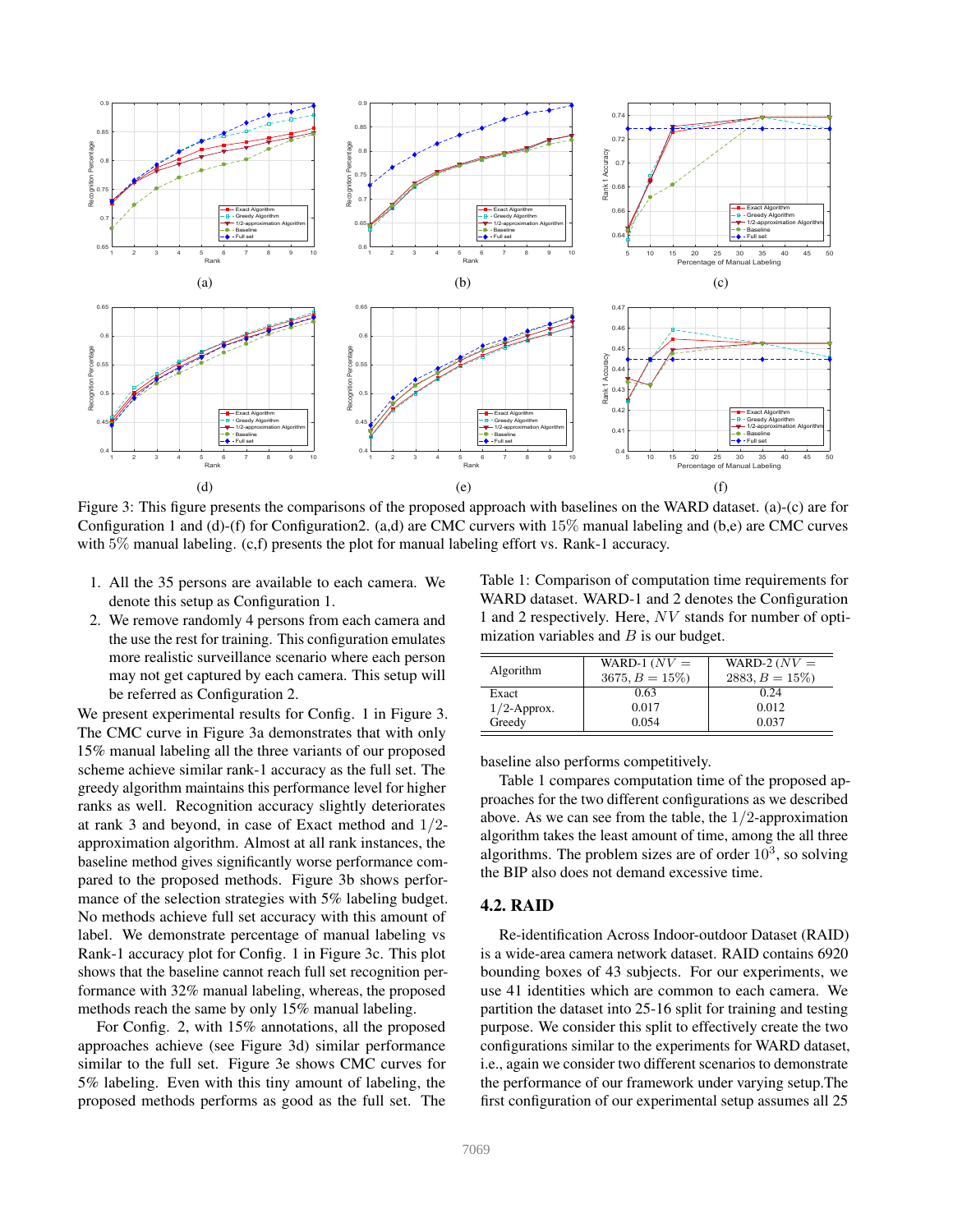

Figure 3: This figure presents the comparisons of the proposed approach with baselines on the WARD dataset. (a)-(c) are for Configuration 1 and (d)-(f) for Configuration2. (a,d) are CMC curvers with 15% manual labeling and (b,e) are CMC curves with 5% manual labeling. (c,f) presents the plot for manual labeling effort vs. Rank-1 accuracy.

- 1. All the 35 persons are available to each camera. We denote this setup as Configuration 1.
- 2. We remove randomly 4 persons from each camera and the use the rest for training. This configuration emulates more realistic surveillance scenario where each person may not get captured by each camera. This setup will be referred as Configuration 2.

We present experimental results for Config. 1 in Figure 3. The CMC curve in Figure 3a demonstrates that with only 15% manual labeling all the three variants of our proposed scheme achieve similar rank-1 accuracy as the full set. The greedy algorithm maintains this performance level for higher ranks as well. Recognition accuracy slightly deteriorates at rank 3 and beyond, in case of Exact method and 1/2 approximation algorithm. Almost at all rank instances, the baseline method gives significantly worse performance compared to the proposed methods. Figure 3b shows performance of the selection strategies with 5% labeling budget. No methods achieve full set accuracy with this amount of label. We demonstrate percentage of manual labeling vs Rank-1 accuracy plot for Config. 1 in Figure 3c. This plot shows that the baseline cannot reach full set recognition performance with 32% manual labeling, whereas, the proposed methods reach the same by only 15% manual labeling.

For Config. 2, with 15% annotations, all the proposed approaches achieve (see Figure 3d) similar performance similar to the full set. Figure 3e shows CMC curves for 5% labeling. Even with this tiny amount of labeling, the proposed methods performs as good as the full set. The

Table 1: Comparison of computation time requirements for WARD dataset. WARD-1 and 2 denotes the Configuration 1 and 2 respectively. Here, NV stands for number of optimization variables and  $B$  is our budget.

| Algorithm      | WARD-1 $(NV =$    | WARD-2 $(NV =$    |
|----------------|-------------------|-------------------|
|                | $3675, B = 15\%)$ | $2883, B = 15\%)$ |
| Exact          | 0.63              | 0.24              |
| $1/2$ -Approx. | 0.017             | 0.012             |
| Greedy         | 0.054             | 0.037             |

baseline also performs competitively.

Table 1 compares computation time of the proposed approaches for the two different configurations as we described above. As we can see from the table, the  $1/2$ -approximation algorithm takes the least amount of time, among the all three algorithms. The problem sizes are of order  $10<sup>3</sup>$ , so solving the BIP also does not demand excessive time.

### 4.2. RAID

Re-identification Across Indoor-outdoor Dataset (RAID) is a wide-area camera network dataset. RAID contains 6920 bounding boxes of 43 subjects. For our experiments, we use 41 identities which are common to each camera. We partition the dataset into 25-16 split for training and testing purpose. We consider this split to effectively create the two configurations similar to the experiments for WARD dataset, i.e., again we consider two different scenarios to demonstrate the performance of our framework under varying setup.The first configuration of our experimental setup assumes all 25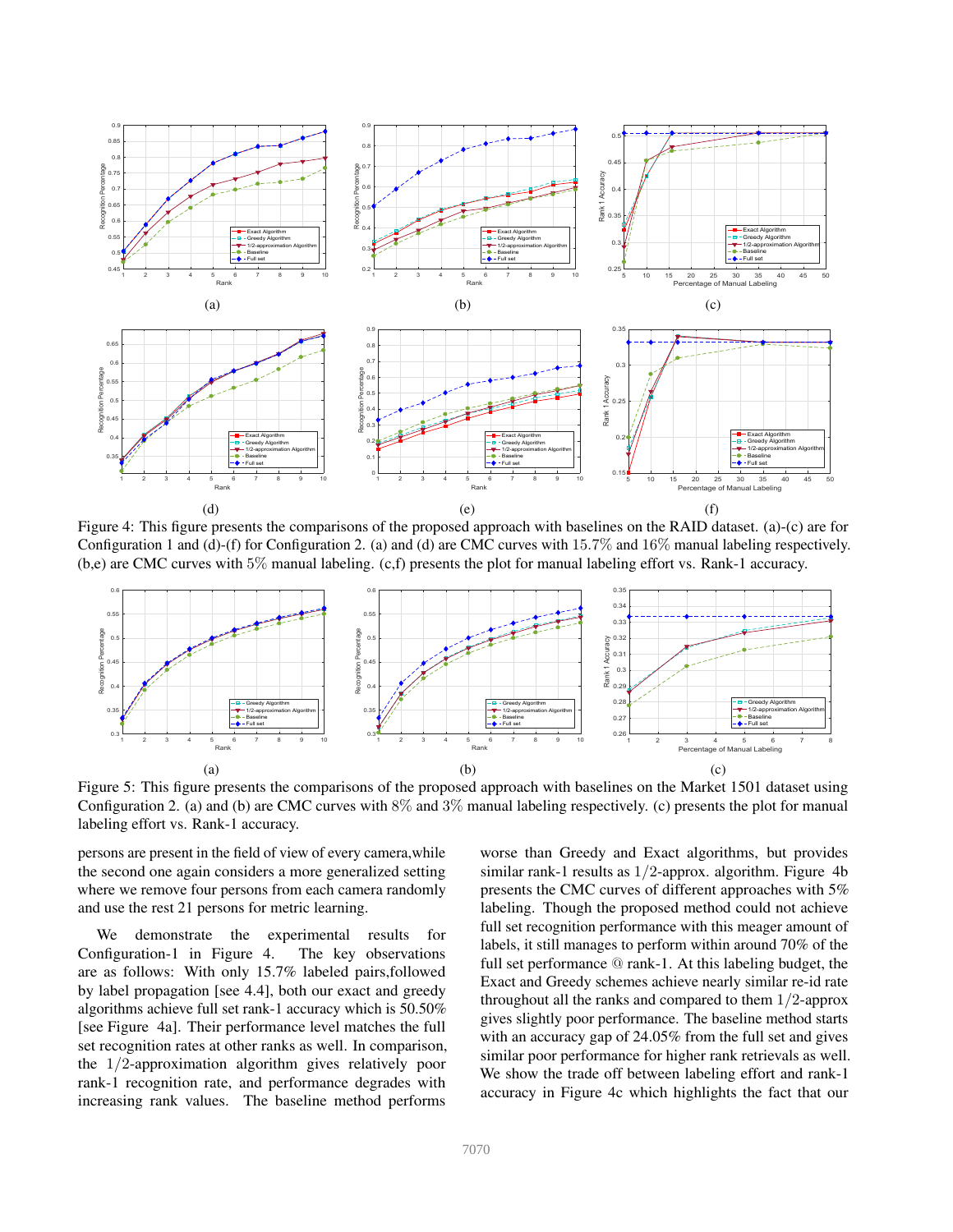

Figure 4: This figure presents the comparisons of the proposed approach with baselines on the RAID dataset. (a)-(c) are for Configuration 1 and (d)-(f) for Configuration 2. (a) and (d) are CMC curves with 15.7% and 16% manual labeling respectively. (b,e) are CMC curves with 5% manual labeling. (c,f) presents the plot for manual labeling effort vs. Rank-1 accuracy.



Figure 5: This figure presents the comparisons of the proposed approach with baselines on the Market 1501 dataset using Configuration 2. (a) and (b) are CMC curves with 8% and 3% manual labeling respectively. (c) presents the plot for manual labeling effort vs. Rank-1 accuracy.

persons are present in the field of view of every camera,while the second one again considers a more generalized setting where we remove four persons from each camera randomly and use the rest 21 persons for metric learning.

We demonstrate the experimental results for Configuration-1 in Figure 4. The key observations are as follows: With only 15.7% labeled pairs,followed by label propagation [see 4.4], both our exact and greedy algorithms achieve full set rank-1 accuracy which is 50.50% [see Figure 4a]. Their performance level matches the full set recognition rates at other ranks as well. In comparison, the 1/2-approximation algorithm gives relatively poor rank-1 recognition rate, and performance degrades with increasing rank values. The baseline method performs

worse than Greedy and Exact algorithms, but provides similar rank-1 results as  $1/2$ -approx. algorithm. Figure 4b presents the CMC curves of different approaches with 5% labeling. Though the proposed method could not achieve full set recognition performance with this meager amount of labels, it still manages to perform within around 70% of the full set performance @ rank-1. At this labeling budget, the Exact and Greedy schemes achieve nearly similar re-id rate throughout all the ranks and compared to them 1/2-approx gives slightly poor performance. The baseline method starts with an accuracy gap of 24.05% from the full set and gives similar poor performance for higher rank retrievals as well. We show the trade off between labeling effort and rank-1 accuracy in Figure 4c which highlights the fact that our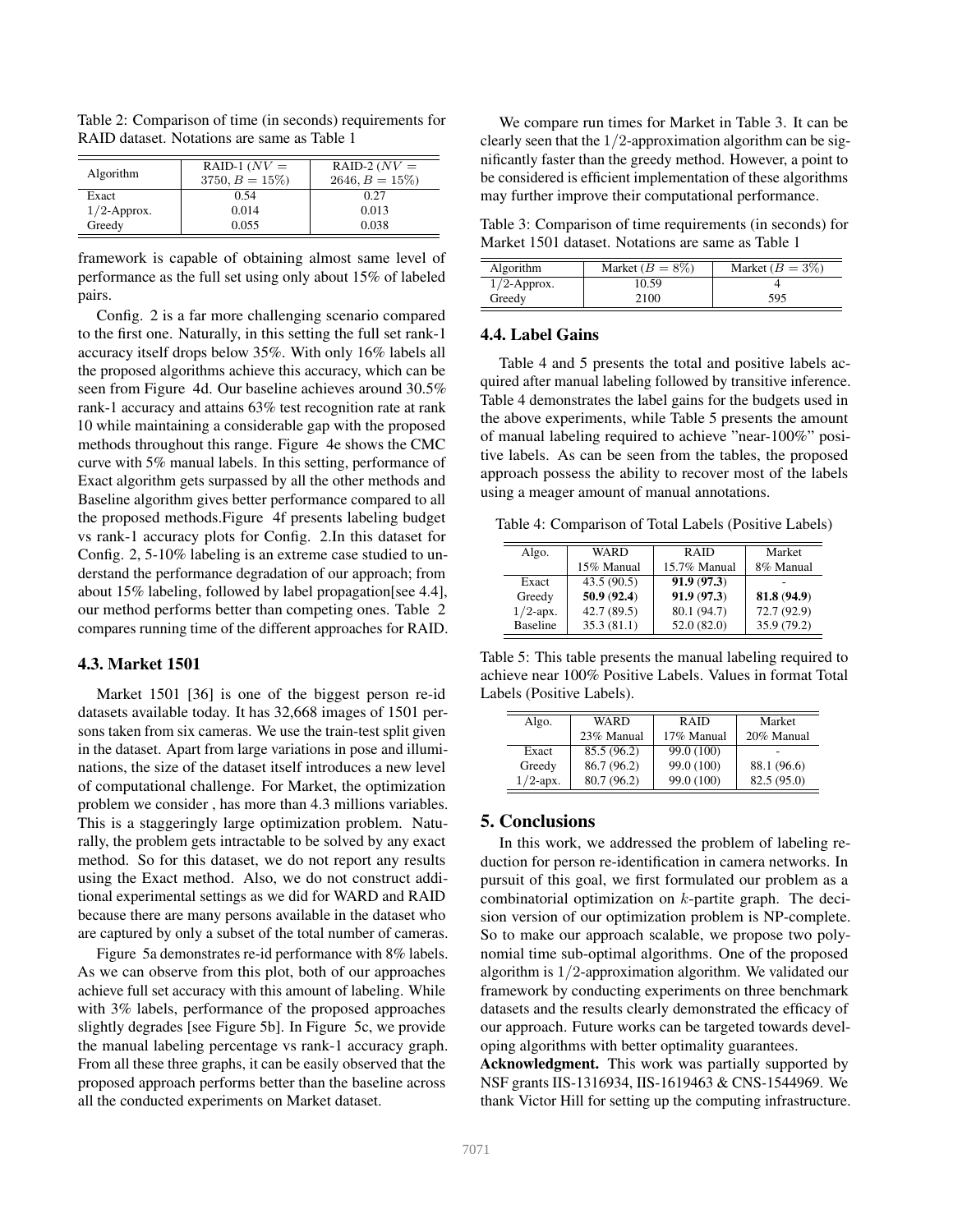| Algorithm      | RAID-1 $(NV =$    | RAID-2 $(NV =$    |
|----------------|-------------------|-------------------|
|                | $3750, B = 15\%)$ | $2646, B = 15\%)$ |
| Exact          | 0.54              | 0.27              |
| $1/2$ -Approx. | 0.014             | 0.013             |
| Greedy         | 0.055             | 0.038             |

Table 2: Comparison of time (in seconds) requirements for RAID dataset. Notations are same as Table 1

framework is capable of obtaining almost same level of performance as the full set using only about 15% of labeled pairs.

Config. 2 is a far more challenging scenario compared to the first one. Naturally, in this setting the full set rank-1 accuracy itself drops below 35%. With only 16% labels all the proposed algorithms achieve this accuracy, which can be seen from Figure 4d. Our baseline achieves around 30.5% rank-1 accuracy and attains 63% test recognition rate at rank 10 while maintaining a considerable gap with the proposed methods throughout this range. Figure 4e shows the CMC curve with 5% manual labels. In this setting, performance of Exact algorithm gets surpassed by all the other methods and Baseline algorithm gives better performance compared to all the proposed methods.Figure 4f presents labeling budget vs rank-1 accuracy plots for Config. 2.In this dataset for Config. 2, 5-10% labeling is an extreme case studied to understand the performance degradation of our approach; from about 15% labeling, followed by label propagation[see 4.4], our method performs better than competing ones. Table 2 compares running time of the different approaches for RAID.

#### 4.3. Market 1501

Market 1501 [36] is one of the biggest person re-id datasets available today. It has 32,668 images of 1501 persons taken from six cameras. We use the train-test split given in the dataset. Apart from large variations in pose and illuminations, the size of the dataset itself introduces a new level of computational challenge. For Market, the optimization problem we consider , has more than 4.3 millions variables. This is a staggeringly large optimization problem. Naturally, the problem gets intractable to be solved by any exact method. So for this dataset, we do not report any results using the Exact method. Also, we do not construct additional experimental settings as we did for WARD and RAID because there are many persons available in the dataset who are captured by only a subset of the total number of cameras.

Figure 5a demonstrates re-id performance with 8% labels. As we can observe from this plot, both of our approaches achieve full set accuracy with this amount of labeling. While with 3% labels, performance of the proposed approaches slightly degrades [see Figure 5b]. In Figure 5c, we provide the manual labeling percentage vs rank-1 accuracy graph. From all these three graphs, it can be easily observed that the proposed approach performs better than the baseline across all the conducted experiments on Market dataset.

We compare run times for Market in Table 3. It can be clearly seen that the  $1/2$ -approximation algorithm can be significantly faster than the greedy method. However, a point to be considered is efficient implementation of these algorithms may further improve their computational performance.

Table 3: Comparison of time requirements (in seconds) for Market 1501 dataset. Notations are same as Table 1

| Algorithm      | Market $(B = 8\%)$ | Market $(B = 3\%)$ |
|----------------|--------------------|--------------------|
| $1/2$ -Approx. | 10.59              |                    |
| Greedy         | 2100               | 595                |

## 4.4. Label Gains

Table 4 and 5 presents the total and positive labels acquired after manual labeling followed by transitive inference. Table 4 demonstrates the label gains for the budgets used in the above experiments, while Table 5 presents the amount of manual labeling required to achieve "near-100%" positive labels. As can be seen from the tables, the proposed approach possess the ability to recover most of the labels using a meager amount of manual annotations.

Table 4: Comparison of Total Labels (Positive Labels)

| Algo.           | WARD        | <b>RAID</b>  | Market      |
|-----------------|-------------|--------------|-------------|
|                 | 15% Manual  | 15.7% Manual | 8% Manual   |
| Exact           | 43.5(90.5)  | 91.9(97.3)   |             |
| Greedy          | 50.9 (92.4) | 91.9 (97.3)  | 81.8 (94.9) |
| $1/2$ -apx.     | 42.7(89.5)  | 80.1 (94.7)  | 72.7 (92.9) |
| <b>Baseline</b> | 35.3(81.1)  | 52.0(82.0)   | 35.9 (79.2) |

Table 5: This table presents the manual labeling required to achieve near 100% Positive Labels. Values in format Total Labels (Positive Labels).

| Algo.       | WARD<br>23% Manual | <b>RAID</b><br>17% Manual | Market<br>20% Manual |
|-------------|--------------------|---------------------------|----------------------|
| Exact       | 85.5 (96.2)        | 99.0 (100)                |                      |
| Greedy      | 86.7 (96.2)        | 99.0 (100)                | 88.1 (96.6)          |
| $1/2$ -apx. | 80.7 (96.2)        | 99.0 (100)                | 82.5(95.0)           |

# 5. Conclusions

In this work, we addressed the problem of labeling reduction for person re-identification in camera networks. In pursuit of this goal, we first formulated our problem as a combinatorial optimization on  $k$ -partite graph. The decision version of our optimization problem is NP-complete. So to make our approach scalable, we propose two polynomial time sub-optimal algorithms. One of the proposed algorithm is 1/2-approximation algorithm. We validated our framework by conducting experiments on three benchmark datasets and the results clearly demonstrated the efficacy of our approach. Future works can be targeted towards developing algorithms with better optimality guarantees.

Acknowledgment. This work was partially supported by NSF grants IIS-1316934, IIS-1619463 & CNS-1544969. We thank Victor Hill for setting up the computing infrastructure.